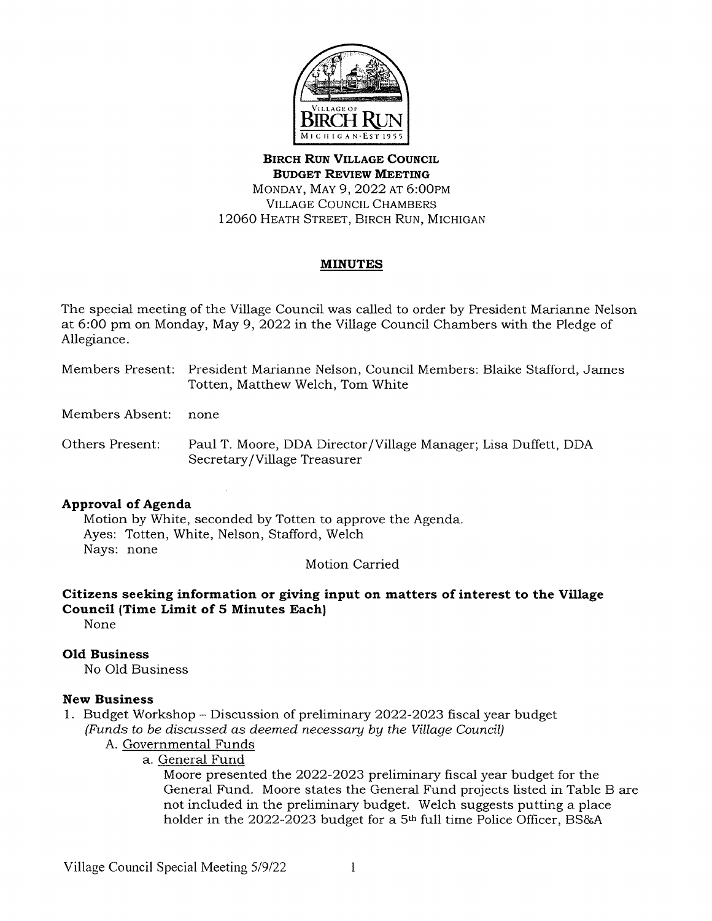

**BIRCH RUN VILLAGE COUNCIL BUDGET REVIEW MEETING**  MONDAY, MAY 9, 2022 AT 6:00PM VILLAGE COUNCIL CHAMBERS 12060 HEATH STREET, BIRCH RUN, MICHIGAN

# **MINUTES**

The special meeting of the Village Council was called to order by President Marianne Nelson at 6:00 pm on Monday, May 9, 2022 in the Village Council Chambers with the Pledge of Allegiance.

Members Present: President Marianne Nelson, Council Members: Blaike Stafford, James Totten, Matthew Welch, Tom White

Members Absent: none

Others Present: Paul T. Moore, DOA Director /Village Manager; Lisa Duffett, DOA Secretary /Village Treasurer

# **Approval of Agenda**

Motion by White, seconded by Totten to approve the Agenda. Ayes: Totten, White, Nelson, Stafford, Welch Nays: none

Motion Carried

# **Citizens seeking information or giving input on matters of interest to the Village Council (Time Limit of 5 Minutes Each)**

None

# **Old Business**

No Old Business

# **New Business**

1. Budget Workshop - Discussion of preliminary 2022-2023 fiscal year budget (Funds to be discussed as deemed necessary by the Village Council)

- A. Governmental Funds
	- a. General Fund

Moore presented the 2022-2023 preliminary fiscal year budget for the General Fund. Moore states the General Fund projects listed in Table B are not included in the preliminary budget. Welch suggests putting a place holder in the 2022-2023 budget for a 5<sup>th</sup> full time Police Officer, BS&A